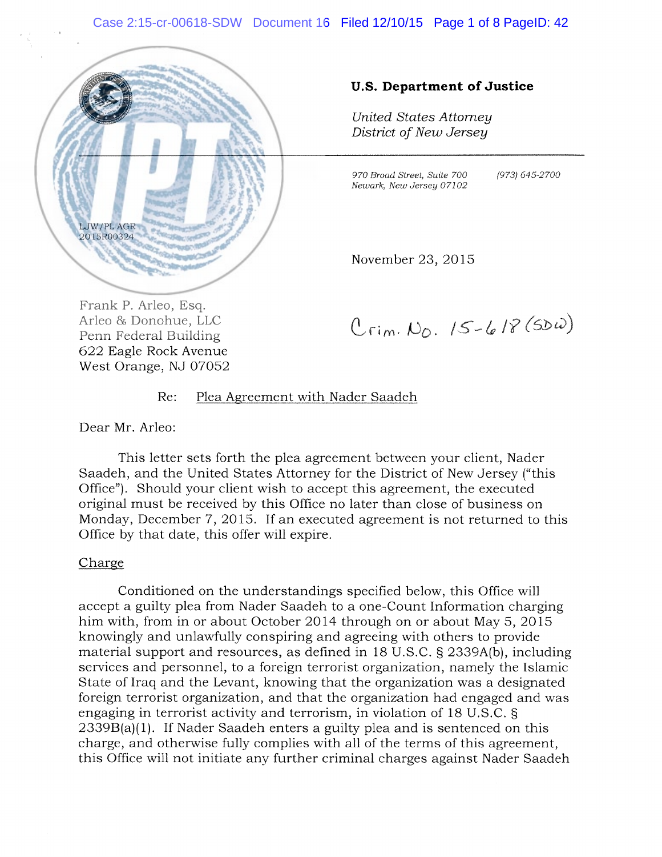#### Case 2:15-cr-00618-SDW Document 16 Filed 12/10/15 Page 1 of 8 PageID: 42



#### U.S. Department of Justice

United States Attorney District of New Jersey

970 Broad Street, Suite 700 (973) 645-2700 Newark, New Jersey 07102

November 23, 2015

Frank P. Arleo, Esq. 622 Eagle Rock Avenue West Orange, NJ 07052

 $C_{rim.}$   $N_{0.}$  15-618 (SDW)

#### Re: Plea Agreement with Nader Saadeh

Dear Mr. Arleo:

This letter sets forth the plea agreement between your client, Nader Saadeh, and the United States Attorney for the District of New Jersey ("this Office"). Should your client wish to accept this agreement, the executed original must be received by this Office no later than close of business on Monday, December 7, 2015. If an executed agreement is not returned to this Office by that date, this offer will expire.

#### Charge

Conditioned on the understandings specified below, this Office will accept a guilty plea from Nader Saadeh to a one-Count Information charging him with, from in or about October 2014 through on or about May 5, 2015 knowingly and unlawfully conspiring and agreeing with others to provide material support and resources, as defined in 18 U.S.C. § 2339A(b), including services and personnel, to a foreign terrorist organization, namely the Islamic State of Iraq and the Levant, knowing that the organization was a designated foreign terrorist organization, and that the organization had engaged and was engaging in terrorist activity and terrorism, in violation of 18 U.S.C. § 2339B(a)(1). If Nader Saadeh enters a guilty plea and is sentenced on this charge, and otherwise fully complies with all of the terms of this agreement, this Office will not initiate any further criminal charges against Nader Saadeh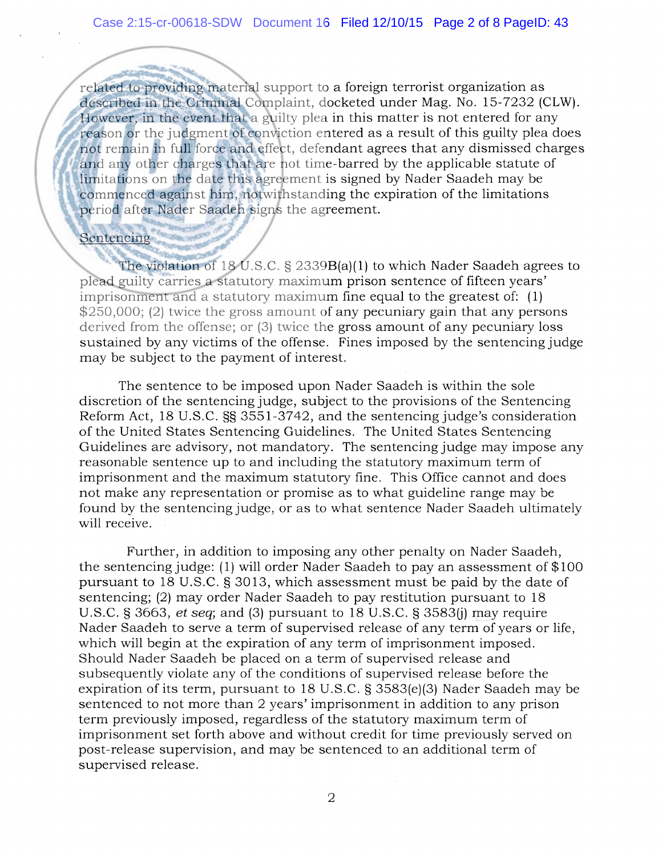related to providing material support to a foreign terrorist organization as described in the Criminal Complaint, docketed under Mag. No. 15-7232 (CLW). However, in the event that a guilty plea in this matter is not entered for any reason or the judgment of conviction entered as a result of this guilty plea does not remain in full force and effect, defendant agrees that any dismissed charges and any other charges that are not time-barred by the applicable statute of limitations on the date this agreement is signed by Nader Saadeh may be commenced against him, notwithstanding the expiration of the limitations period after Nader Saadeh signs the agreement.

Sentencing

The violation of 18 U.S.C. § 2339B(a)(1) to which Nader Saadeh agrees to plead guilty carries a statutory maximum prison sentence of fifteen years' imprisonment and a statutory maximum fine equal to the greatest of: (1) \$250,000; (2) twice the gross amount of any pecuniary gain that any persons derived from the offense; or (3) twice the gross amount of any pecuniary loss sustained by any victims of the offense. Fines imposed by the sentencing judge may be subject to the payment of interest.

The sentence to be imposed upon Nader Saadeh is within the sole discretion of the sentencing judge, subject to the provisions of the Sentencing Reform Act, 18 U.S.C.  $\S$  3551-3742, and the sentencing judge's consideration of the United States Sentencing Guidelines. The United States Sentencing Guidelines are advisory, not mandatory, The sentencing judge may impose any reasonable sentence up to and including the statutory maximum term of imprisonment and the maximum statutory fine. This Office cannot and does not make any representation or promise as to what guideline range may be found by the sentencing judge, or as to what sentence Nader Saadeh ultimately will receive.

Further, in addition to imposing any other penalty on Nader Saadeh, the sentencing judge: (1) will order Nader Saadeh to pay an assessment of \$100 pursuant to 18 U.S.C. § 3013, which assessment must be paid by the date of sentencing; (2) may order Nader Saadeh to pay restitution pursuant to 18 U.S.C. § 3663, et seq; and (3) pursuant to 18 U.S.C. § 3583(j) may require Nader Saadeh to serve a term of supervised release of any term of years or life, which will begin at the expiration of any term of imprisonment imposed. Should Nader Saadeh be placed on a term of supervised release and subsequently violate any of the conditions of supervised release before the expiration of its term, pursuant to 18 U.S.C. § 3583(e)(3) Nader Saadeh may be sentenced to not more than 2 years' imprisonment in addition to any prison term previously imposed, regardless of the statutory maximum term of imprisonment set forth above and without credit for time previously served on post-release supervision, and may be sentenced to an additional term of supervised release.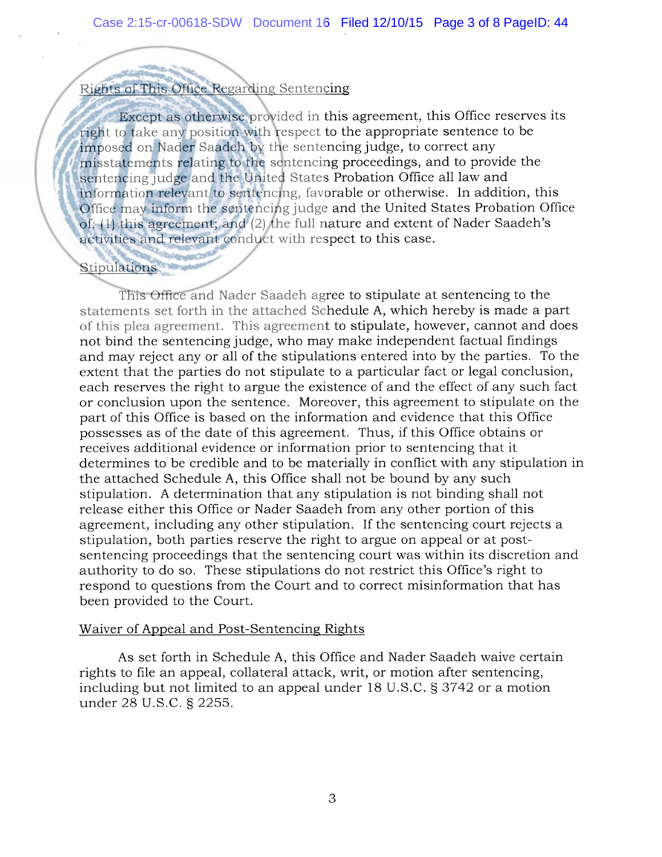# Rights of This Office Regarding Sentencing

Except as otherwise provided in this agreement, this Office reserves its right to take any position with respect to the appropriate sentence to be imposed on Nader Saadeh by the sentencing judge, to correct any misstatements relating to the sentencing proceedings, and to provide the sentencing judge and the United States Probation Office all law and information relevant to sentencing, favorable or otherwise. In addition, this Office may inform the sentencing judge and the United States Probation Office of: (1) this agreement; and (2) the full nature and extent of Nader Saadeh's activities and relevant conduct with respect to this case.

## **Stipulations**

This Office and Nader Saadeh agree to stipulate at sentencing to the statements set forth in the attached Schedule A, which hereby is made a part of this plea agreement. This agreement to stipulate, however, cannot and does not bind the sentencing judge, who may make independent factual findings and may reject any or all of the stipulations entered into by the parties. To the extent that the parties do not stipulate to a particular fact or legal conclusion, each reserves the right to argue the existence of and the effect of any such fact or conclusion upon the sentence. Moreover, this agreement to stipulate on the part of this Office is based on the information and evidence that this Office possesses as of the date of this agreement. Thus, if this Office obtains or receives additional evidence or information prior to sentencing that it determines to be credible and to be materially in conflict with any stipulation in the attached Schedule A, this Office shall not be bound by any such stipulation. <sup>A</sup> determination that any stipulation is not binding shall not release either this Office or Nader Saadeh from any other portion of this agreement, including any other stipulation. If the sentencing court rejects a stipulation, both parties reserve the right to argue on appeal or at postsentencing proceedings that the sentencing court was within its discretion and authority to do so. These stipulations do not restrict this Office's right to respond to questions from the Court and to correct misinformation that has been provided to the Court.

## Waiver of Appeal and Post-Sentencing Rights

As set forth in Schedule A, this Office and Nader Saadeh waive certain rights to file an appeal, collateral attack, writ, or motion after sentencing, including but not limited to an appeal under 18 U.S.C. § 3742 or a motion under 28 U.S.C. § 2255.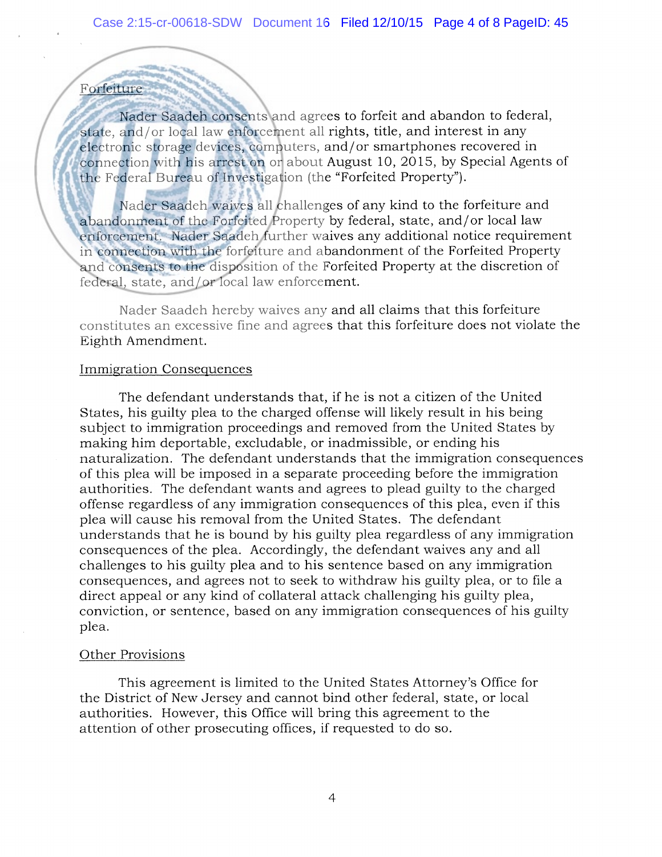## Forfeiture

Nader Saadeh consents and agrees to forfeit and abandon to federal, state, and/or local law enforcement all rights, title, and interest in any electronic storage devices, computers, and/or smartphones recovered in connection with his arrest on or about August 10, 2015, by Special Agents of the Federal Bureau of Investigation (the "Forfeited Property").

Nader Saadeh waives all challenges of any kind to the forfeiture and abandonment of the Forfeited Property by federal, state, and/or local law enforcement. Nader Saadeh further waives any additional notice requirement in connection with the forfeiture and abandonment of the Forfeited Property and consents to the disposition of the Forfeited Property at the discretion of federal, state, and/or local law enforcement.

Nader Saadeh hereby waives any and all claims that this forfeiture constitutes an excessive fine and agrees that this forfeiture does not violate the Eighth Amendment.

## Immigration Consequences

The defendant understands that, if he is not a citizen of the United States, his guilty plea to the charged offense will likely result in his being subject to immigration proceedings and removed from the United States by making him deportable, excludable, or inadmissible, or ending his naturalization. The defendant understands that the immigration consequences of this plea will be imposed in a separate proceeding before the immigration authorities. The defendant wants and agrees to plead guilty to the charged offense regardless of any immigration consequences of this plea, even if this plea will cause his removal from the United States. The defendant understands that he is bound by his guilty plea regardless of any immigration consequences of the plea. Accordingly, the defendant waives any and all challenges to his guilty plea and to his sentence based on any immigration consequences, and agrees not to seek to withdraw his guilty plea, or to file a direct appeal or any kind of collateral attack challenging his guilty plea, conviction, or sentence, based on any immigration consequences of his guilty plea.

## Other Provisions

This agreement is limited to the United States Attorney's Office for the District of New Jersey and cannot bind other federal, state, or local authorities. However, this Office will bring this agreement to the attention of other prosecuting offices, if requested to do so.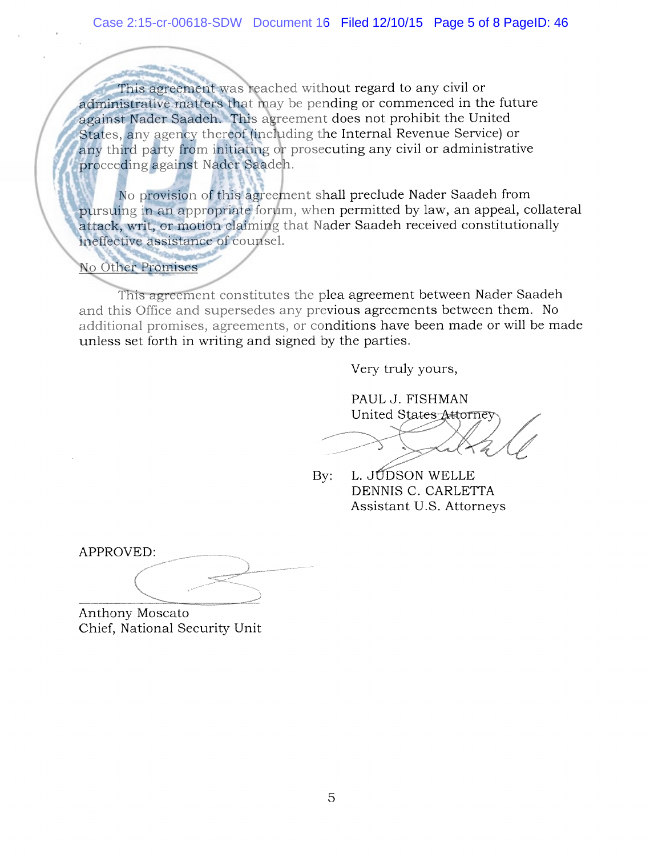This agreement was reached without regard to any civil or administrative matters that may be pending or commenced in the future against Nader Saadeh. This agreement does not prohibit the United States, any agency thereof (including the Internal Revenue Service) or any third party from initiating or prosecuting any civil or administrative proceeding against Nader Saadeh.

No provision of this agreement shall preclude Nader Saadeh from pursuing in an appropriate forum, when permitted by law, an appeal, collateral attack, writ, or motion claiming that Nader Saadeh received constitutionally ineffective assistance of counsel.

No Other Promises

This agreement constitutes the plea agreement between Nader Saadeh and this Office and supersedes any previous agreements between them. No additional promises, agreements, or conditions have been made or will be made unless set forth in writing and signed by the parties.

Very truly yours,

PAUL J. FISHMAN PAUL J. FISHMAN<br>United States Attorney

By: L. JUDSON WELLE DENNIS C. CARLETTA Assistant U.S. Attorneys

APPROVED: \<br>\<br>\<br>\

— Anthony Moscato Chief, National Security Unit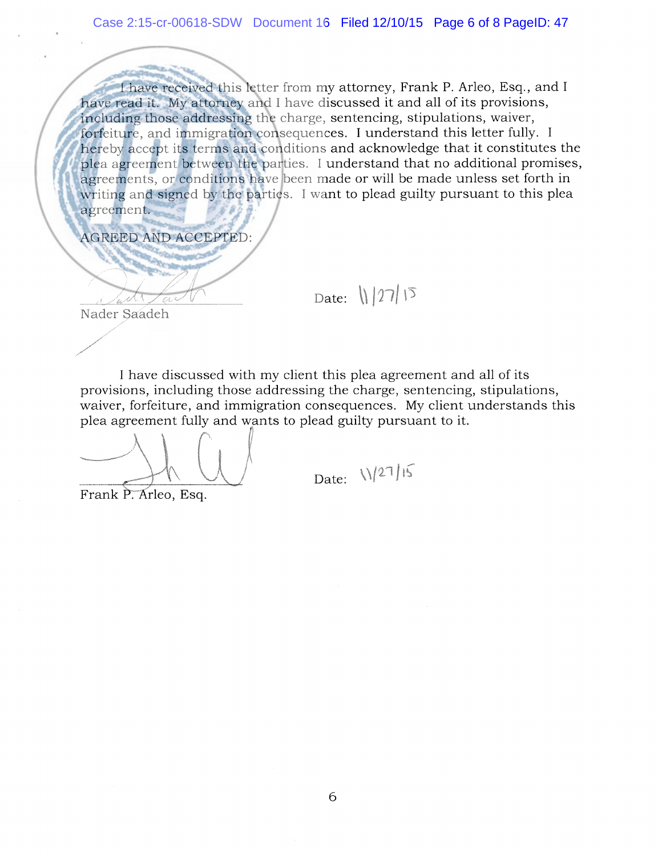<sup>I</sup> have received this letter from my attorney, Frank P. Arleo, Esq., and <sup>I</sup> have read it. My attorney and <sup>I</sup> have discussed it and all of its provisions, including those addressing the charge, sentencing, stipulations, waiver, forfeiture, and immigration consequences. <sup>I</sup> understand this letter fully. <sup>I</sup> hereby accept its terms and conditions and acknowledge that it constitutes the plea agreement between the parties. <sup>I</sup> understand that no additional promises, agreements, or conditions have been made or will be made unless set forth in writing and signed by the parties. <sup>I</sup> want to plead guilty pursuant to this plea agreement.

AGREED AND ACCEPTED:

Date:  $\|27\|\sqrt{2}$ 

Nader Saadeh

<sup>I</sup> have discussed with my client this plea agreement and all of its provisions, including those addressing the charge, sentencing, stipulations, waiver, forfeiture, and immigration consequences. My client understands this plea agreement fully and wants to plead guilty pursuant to it.

1••. <sup>L</sup> /

Frank P. Arleo, Esq.

Date:  $\sqrt{27/15}$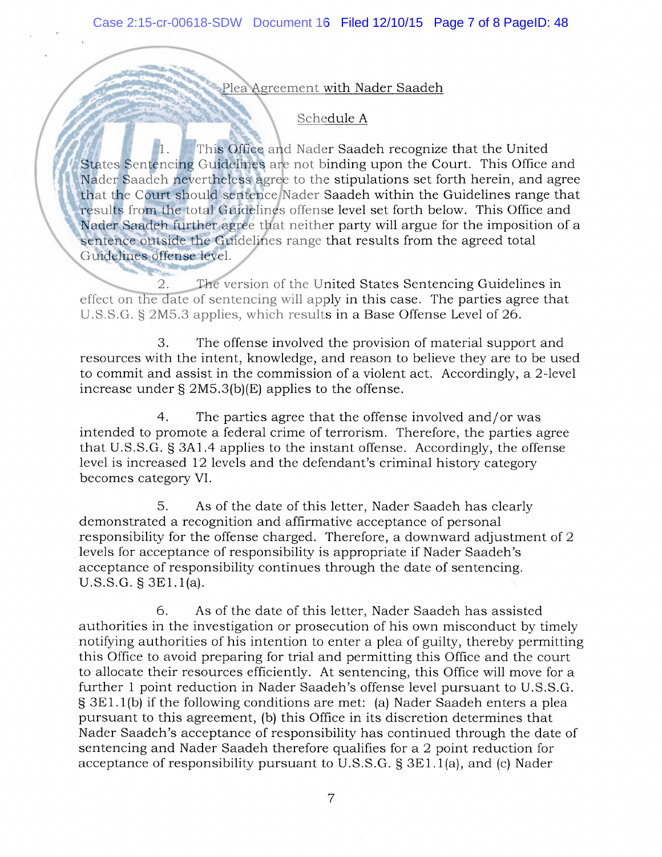Plea Agreement with Nader Saadeh

## Schedule A

1. This Office and Nader Saadeh recognize that the United States Sentencing Guidelines are not binding upon the Court. This Office and Nader Saadeh nevertheless agree to the stipulations set forth herein, and agree that the Court should sentence Nader Saadeh within the Guidelines range that results from the total Guidelines offense level set forth below. This Office and Nader Saadeh further agree that neither party will argue for the imposition of a sentence outside the Guidelines range that results from the agreed total Guidelines offense level.

2. The version of the United States Sentencing Guidelines in effect on the date of sentencing will apply in this case. The parties agree that U.S.S.G. § 2M5.3 applies, which results in a Base Offense Level of 26.

3. The offense involved the provision of material support and resources with the intent, knowledge, and reason to believe they are to be used to commit and assist in the commission of a violent act. Accordingly, a 2-level increase under § 2M5.3(b)(E) applies to the offense.

4. The parties agree that the offense involved and/or was intended to promote a federal crime of terrorism. Therefore, the parties agree that U.S.S.G. § 3A1.4 applies to the instant offense. Accordingly, the offense level is increased 12 levels and the defendant's criminal history category becomes category VI.

5. As of the date of this letter, Nader Saadeh has clearly demonstrated a recognition and affirmative acceptance of personal responsibility for the offense charged, Therefore, a downward adjustment of 2 levels for acceptance of responsibility is appropriate if Nader Saadeh's acceptance of responsibility continues through the date of sentencing. U.S.S.G. § 3E1.1(a).

6. As of the date of this letter, Nader Saadeh has assisted authorities in the investigation or prosecution of his own misconduct by timely notifying authorities of his intention to enter a plea of guilty, thereby permitting this Office to avoid preparing for trial and permitting this Office and the court to allocate their resources efficiently. At sentencing, this Office will move for a further <sup>1</sup> point reduction in Nader Saadeh's offense level pursuant to U.S.S.G. § 3E 1.1(b) if the following conditions are met: (a) Nader Saadeh enters a plea pursuant to this agreement, (b) this Office in its discretion determines that Nader Saadeh's acceptance of responsibility has continued through the date of sentencing and Nader Saadeh therefore qualifies for a 2 point reduction for acceptance of responsibility pursuant to U.S.S.G. § 3E1.1(a), and (c) Nader